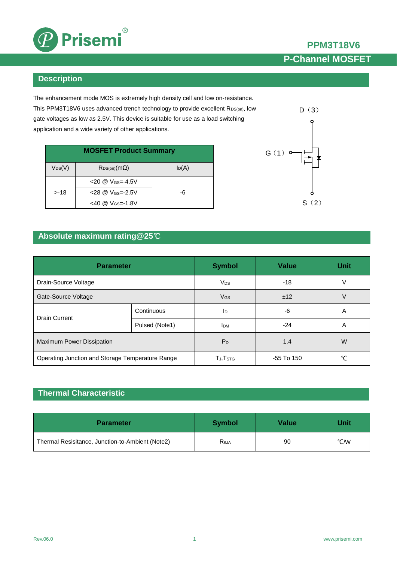

### **Description**

The enhancement mode MOS is extremely high density cell and low on-resistance. This PPM3T18V6 uses advanced trench technology to provide excellent R<sub>DS(on)</sub>, low gate voltages as low as 2.5V. This device is suitable for use as a load switching application and a wide variety of other applications.

| <b>MOSFET Product Summary</b> |                                 |          |  |  |
|-------------------------------|---------------------------------|----------|--|--|
| $V_{DS}(V)$                   | $R_{DS(on)}(m\Omega)$           | $I_D(A)$ |  |  |
|                               | $<$ 20 @ V <sub>GS</sub> =-4.5V |          |  |  |
| $> -18$                       | $28 @ V_{GS} = -2.5V$           | -6       |  |  |
|                               | $<40$ @ V <sub>GS=</sub> -1.8V  |          |  |  |



**PPM3T18V6**

**P-Channel MOSFET**

## **Absolute maximum rating@25**℃

| <b>Parameter</b>                                 |                | <b>Symbol</b>          | <b>Value</b> | <b>Unit</b> |
|--------------------------------------------------|----------------|------------------------|--------------|-------------|
| Drain-Source Voltage                             |                | <b>V<sub>DS</sub></b>  | -18          | ν           |
| Gate-Source Voltage                              |                | V <sub>GS</sub>        | ±12          | V           |
| <b>Drain Current</b>                             | Continuous     | Iр                     | -6           | A           |
|                                                  | Pulsed (Note1) | <b>I</b> <sub>DM</sub> | -24          | A           |
| Maximum Power Dissipation                        |                | $P_D$                  | 1.4          | W           |
| Operating Junction and Storage Temperature Range |                | TJ, T <sub>STG</sub>   | -55 To 150   | °C          |

## **Thermal Characteristic**

| <b>Parameter</b>                                 | <b>Symbol</b>  | Value | Unit |
|--------------------------------------------------|----------------|-------|------|
| Thermal Resisitance, Junction-to-Ambient (Note2) | $R_{\theta$ JA | 90    | °C/W |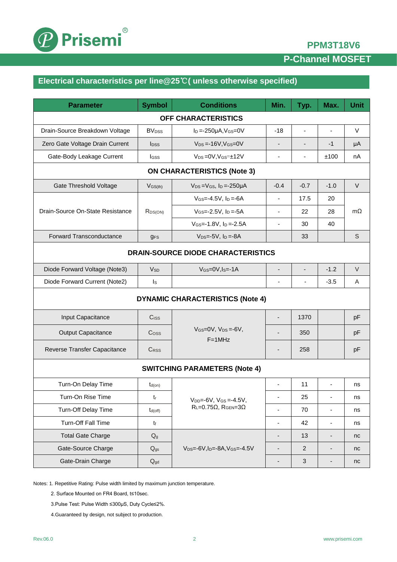

## **PPM3T18V6**

# **P-Channel MOSFET**

# **Electrical characteristics per line@25**℃**( unless otherwise specified)**

| <b>Parameter</b>                                                                                 | <b>Symbol</b>                                                          | <b>Conditions</b>                             | Min.                     | Typ.                         | Max.                     | <b>Unit</b> |  |
|--------------------------------------------------------------------------------------------------|------------------------------------------------------------------------|-----------------------------------------------|--------------------------|------------------------------|--------------------------|-------------|--|
| <b>OFF CHARACTERISTICS</b>                                                                       |                                                                        |                                               |                          |                              |                          |             |  |
| Drain-Source Breakdown Voltage                                                                   | <b>BV</b> <sub>DSS</sub>                                               | $I_D = -250\mu A$ , $V_{GS} = 0V$             | $-18$                    | ä,                           | $\sim$                   | V           |  |
| Zero Gate Voltage Drain Current                                                                  | <b>I</b> <sub>pss</sub>                                                | $V_{DS} = -16V$ , $V_{GS} = 0V$               | $\overline{\phantom{a}}$ |                              | -1                       | μA          |  |
| Gate-Body Leakage Current                                                                        | Igss                                                                   | $V_{DS} = 0V$ , $V_{GS} = \pm 12V$            | ٠                        | $\overline{a}$               | ±100                     | nA          |  |
| <b>ON CHARACTERISTICS (Note 3)</b>                                                               |                                                                        |                                               |                          |                              |                          |             |  |
| <b>Gate Threshold Voltage</b><br>$V_{DS} = V_{GS}$ , $I_D = -250 \mu A$<br>$V$ <sub>GS(th)</sub> |                                                                        |                                               |                          | $-0.7$                       | $-1.0$                   | $\vee$      |  |
|                                                                                                  |                                                                        | $V_{GS} = -4.5V$ , $I_D = -6A$                | $\blacksquare$           | 17.5                         | 20                       | $m\Omega$   |  |
| Drain-Source On-State Resistance                                                                 | R <sub>DS(ON)</sub>                                                    | $V$ <sub>GS</sub> =-2.5V, $I_D$ =-5A          | $\blacksquare$           | 22                           | 28                       |             |  |
|                                                                                                  |                                                                        | $V$ <sub>GS</sub> =-1.8V, $I_D$ =-2.5A        | $\overline{\phantom{a}}$ | 30                           | 40                       |             |  |
| <b>Forward Transconductance</b>                                                                  | <b>gFS</b>                                                             | $V_{DS} = -5V$ , $I_D = -8A$                  |                          | 33                           |                          | S           |  |
| <b>DRAIN-SOURCE DIODE CHARACTERISTICS</b>                                                        |                                                                        |                                               |                          |                              |                          |             |  |
| Diode Forward Voltage (Note3)                                                                    | <b>V<sub>SD</sub></b>                                                  | $V_{GS}=$ 0V, $I_S$ = - 1A                    | $\overline{\phantom{m}}$ | $\qquad \qquad \blacksquare$ | $-1.2$                   | $\vee$      |  |
| Diode Forward Current (Note2)                                                                    | $\mathsf{I}_\mathsf{S}$                                                |                                               | ٠                        | $\blacksquare$               | $-3.5$                   | A           |  |
| <b>DYNAMIC CHARACTERISTICS (Note 4)</b>                                                          |                                                                        |                                               |                          |                              |                          |             |  |
| Input Capacitance                                                                                | Ciss                                                                   |                                               | $\overline{\phantom{a}}$ | 1370                         |                          | pF          |  |
| <b>Output Capacitance</b>                                                                        | $\mathrm{C}$ <sub>OSS</sub>                                            | $V_{GS}=$ $OV, V_{DS}=$ $-6V,$<br>$F = 1$ MHz |                          | 350                          |                          | pF          |  |
| Reverse Transfer Capacitance                                                                     | <b>CRSS</b>                                                            |                                               | -                        | 258                          |                          | pF          |  |
| <b>SWITCHING PARAMETERS (Note 4)</b>                                                             |                                                                        |                                               |                          |                              |                          |             |  |
| Turn-On Delay Time                                                                               | $t_{d(on)}$                                                            |                                               | $\blacksquare$           | 11                           | $\blacksquare$           | ns          |  |
| Turn-On Rise Time                                                                                | $t_{r}$                                                                | $V_{DD} = -6V$ , $V_{GS} = -4.5V$ ,           | $\overline{\phantom{a}}$ | 25                           | $\overline{\phantom{a}}$ | ns          |  |
| Turn-Off Delay Time                                                                              | $t_{d(off)}$                                                           | $R_L = 0.75\Omega$ , $R_{GEN} = 3\Omega$      | ä,                       | 70                           | $\blacksquare$           | ns          |  |
| Turn-Off Fall Time                                                                               | $t_{f}$                                                                |                                               | $\overline{\phantom{a}}$ | 42                           | $\blacksquare$           | ns          |  |
| <b>Total Gate Charge</b>                                                                         | $Q_g$                                                                  |                                               | $\overline{a}$           | 13                           | $\overline{\phantom{a}}$ | nc          |  |
| Gate-Source Charge                                                                               | $V_{DS} = -6V$ , I <sub>D</sub> $= -8A$ , $V_{GS} = -4.5V$<br>$Q_{gs}$ |                                               |                          | $\overline{2}$               | $\overline{\phantom{a}}$ | nc          |  |
| Gate-Drain Charge                                                                                | $Q_{gd}$                                                               |                                               | -                        | $\mathfrak{S}$               | ۰                        | nc          |  |

Notes: 1. Repetitive Rating: Pulse width limited by maximum junction temperature.

2. Surface Mounted on FR4 Board, t≤10sec.

3.Pulse Test: Pulse Width ≤300μS, Duty Cycle≤2%.

4.Guaranteed by design, not subject to production.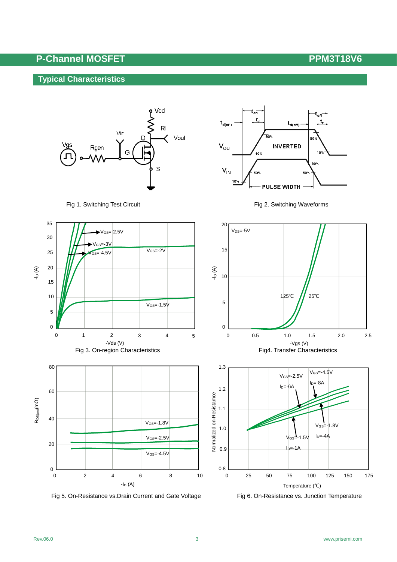t,

10%

50%

90%

 $t_{d(on)}$ 

 $V_{OUT}$ 

 $V_{\text{IN}}$ 

10%

 $\mathbf{t}_{\text{d(off)}}$ 

**INVERTED** 

**PULSE WIDTH** 

oo d

 $10<sub>1</sub>$ 

90%

50%

## **Typical Characteristics**



Fig 1. Switching Test Circuit Fig 2. Switching Waveforms



Fig 5. On-Resistance vs. Drain Current and Gate Voltage Fig 6. On-Resistance vs. Junction Temperature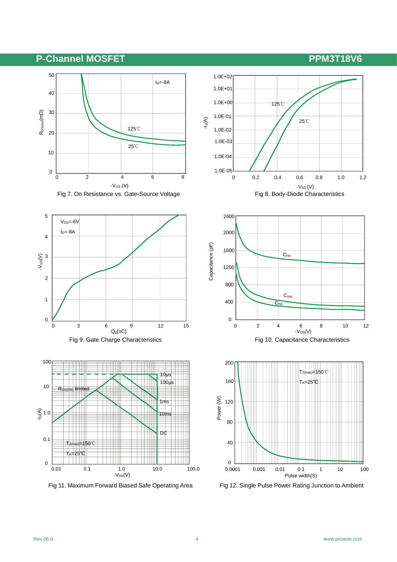













Fig 11. Maximum Forward Biased Safe Operating Area Fig 12. Single Pulse Power Rating Junction to Ambient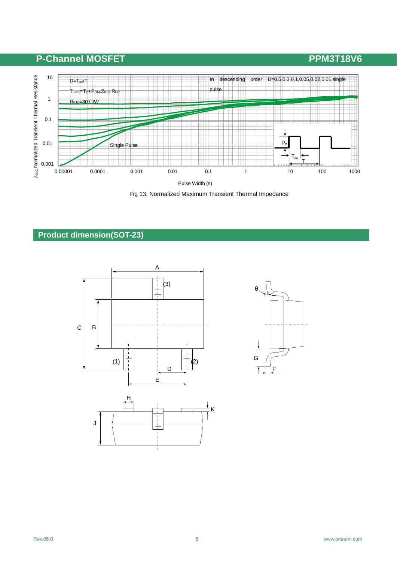

Fig 13. Normalized Maximum Transient Thermal Impedance

## **Product dimension(SOT-23)**



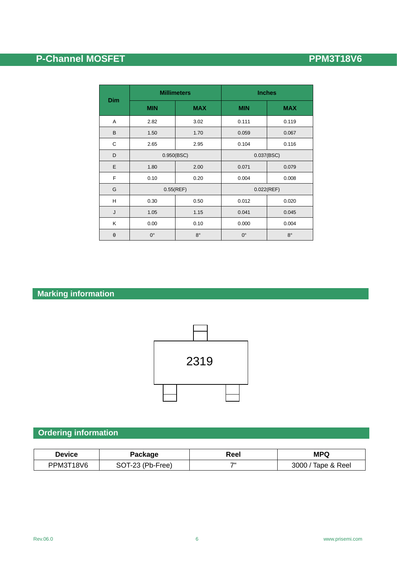|            | <b>Millimeters</b> |             | <b>Inches</b> |             |  |
|------------|--------------------|-------------|---------------|-------------|--|
| <b>Dim</b> | <b>MIN</b>         | <b>MAX</b>  | <b>MIN</b>    | <b>MAX</b>  |  |
| Α          | 2.82               | 3.02        | 0.111         | 0.119       |  |
| B          | 1.50               | 1.70        | 0.059         | 0.067       |  |
| C          | 2.65               | 2.95        | 0.104         | 0.116       |  |
| D          | 0.950(BSC)         |             |               | 0.037(BSC)  |  |
| E          | 1.80               | 2.00        | 0.071         | 0.079       |  |
| F          | 0.10               | 0.20        | 0.004         | 0.008       |  |
| G          | $0.55$ (REF)       |             |               | 0.022(REF)  |  |
| Н          | 0.30               | 0.50        | 0.012         | 0.020       |  |
| J          | 1.05               | 1.15        | 0.041         | 0.045       |  |
| Κ          | 0.00               | 0.10        | 0.000         | 0.004       |  |
| $\theta$   | $0^{\circ}$        | $8^{\circ}$ | $0^{\circ}$   | $8^{\circ}$ |  |

# **Marking information**



# **Ordering information**

| Device    | Package          | Reel           | <b>MPQ</b>           |
|-----------|------------------|----------------|----------------------|
| PPM3T18V6 | SOT-23 (Pb-Free) | $\overline{7}$ | Tape & Reel<br>3000, |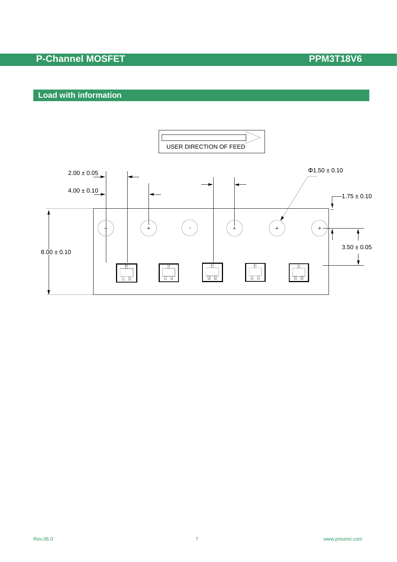## **Load with information**